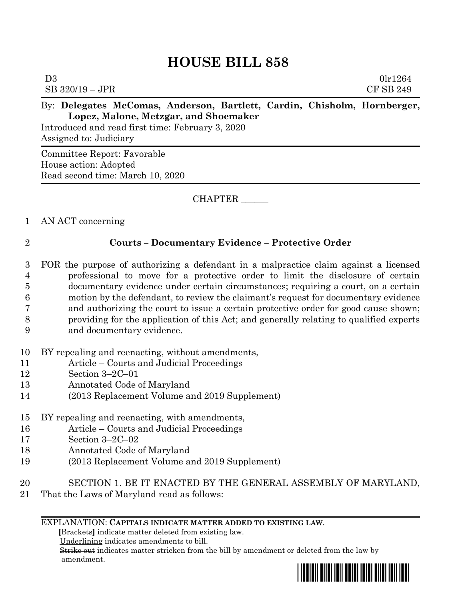# **HOUSE BILL 858**

| D <sub>3</sub> | SB 320/19 – JPR                       |  |  |  |  |  | 01r1264<br>CF SB 249                                                     |
|----------------|---------------------------------------|--|--|--|--|--|--------------------------------------------------------------------------|
|                |                                       |  |  |  |  |  | By: Delegates McComas, Anderson, Bartlett, Cardin, Chisholm, Hornberger, |
|                | Lopez, Malone, Metzgar, and Shoemaker |  |  |  |  |  |                                                                          |

Introduced and read first time: February 3, 2020 Assigned to: Judiciary

Committee Report: Favorable House action: Adopted Read second time: March 10, 2020

CHAPTER \_\_\_\_\_\_

## 1 AN ACT concerning

# 2 **Courts – Documentary Evidence – Protective Order**

- 3 FOR the purpose of authorizing a defendant in a malpractice claim against a licensed 4 professional to move for a protective order to limit the disclosure of certain 5 documentary evidence under certain circumstances; requiring a court, on a certain 6 motion by the defendant, to review the claimant's request for documentary evidence 7 and authorizing the court to issue a certain protective order for good cause shown; 8 providing for the application of this Act; and generally relating to qualified experts 9 and documentary evidence.
- 10 BY repealing and reenacting, without amendments,
- 11 Article Courts and Judicial Proceedings
- 12 Section 3–2C–01
- 13 Annotated Code of Maryland
- 14 (2013 Replacement Volume and 2019 Supplement)
- 15 BY repealing and reenacting, with amendments,
- 16 Article Courts and Judicial Proceedings
- 17 Section 3–2C–02
- 18 Annotated Code of Maryland
- 19 (2013 Replacement Volume and 2019 Supplement)
- 20 SECTION 1. BE IT ENACTED BY THE GENERAL ASSEMBLY OF MARYLAND,
- 21 That the Laws of Maryland read as follows:

### EXPLANATION: **CAPITALS INDICATE MATTER ADDED TO EXISTING LAW**.

 **[**Brackets**]** indicate matter deleted from existing law.

Underlining indicates amendments to bill.

 Strike out indicates matter stricken from the bill by amendment or deleted from the law by amendment.

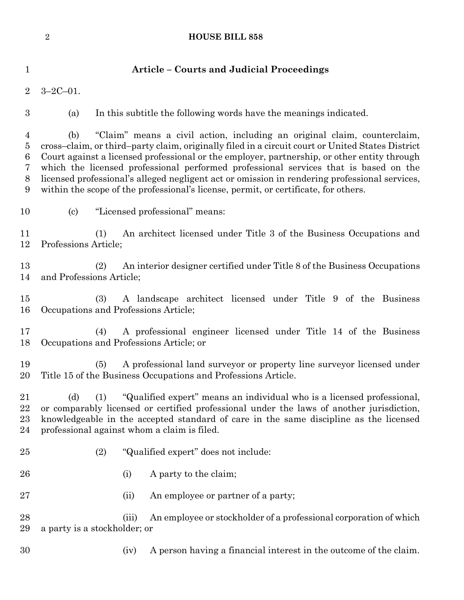# **HOUSE BILL 858**

| 1                                                               | <b>Article – Courts and Judicial Proceedings</b>                                                                                                                                                                                                                                                                                                                                                                                                                                                                                                                   |  |  |  |  |  |  |  |
|-----------------------------------------------------------------|--------------------------------------------------------------------------------------------------------------------------------------------------------------------------------------------------------------------------------------------------------------------------------------------------------------------------------------------------------------------------------------------------------------------------------------------------------------------------------------------------------------------------------------------------------------------|--|--|--|--|--|--|--|
| $\overline{2}$                                                  | $3 - 2C - 01$ .                                                                                                                                                                                                                                                                                                                                                                                                                                                                                                                                                    |  |  |  |  |  |  |  |
| 3                                                               | In this subtitle the following words have the meanings indicated.<br>(a)                                                                                                                                                                                                                                                                                                                                                                                                                                                                                           |  |  |  |  |  |  |  |
| $\overline{4}$<br>$\bf 5$<br>$6\phantom{.}6$<br>7<br>$8\,$<br>9 | "Claim" means a civil action, including an original claim, counterclaim,<br>(b)<br>cross-claim, or third-party claim, originally filed in a circuit court or United States District<br>Court against a licensed professional or the employer, partnership, or other entity through<br>which the licensed professional performed professional services that is based on the<br>licensed professional's alleged negligent act or omission in rendering professional services,<br>within the scope of the professional's license, permit, or certificate, for others. |  |  |  |  |  |  |  |
| 10                                                              | "Licensed professional" means:<br>$\left( \mathrm{c}\right)$                                                                                                                                                                                                                                                                                                                                                                                                                                                                                                       |  |  |  |  |  |  |  |
| 11<br>12                                                        | (1)<br>An architect licensed under Title 3 of the Business Occupations and<br>Professions Article;                                                                                                                                                                                                                                                                                                                                                                                                                                                                 |  |  |  |  |  |  |  |
| 13<br>14                                                        | An interior designer certified under Title 8 of the Business Occupations<br>(2)<br>and Professions Article;                                                                                                                                                                                                                                                                                                                                                                                                                                                        |  |  |  |  |  |  |  |
| 15<br>16                                                        | A landscape architect licensed under Title 9 of the Business<br>(3)<br>Occupations and Professions Article;                                                                                                                                                                                                                                                                                                                                                                                                                                                        |  |  |  |  |  |  |  |
| 17<br>18                                                        | A professional engineer licensed under Title 14 of the Business<br>(4)<br>Occupations and Professions Article; or                                                                                                                                                                                                                                                                                                                                                                                                                                                  |  |  |  |  |  |  |  |
| 19<br>20                                                        | A professional land survey or property line survey or licensed under<br>(5)<br>Title 15 of the Business Occupations and Professions Article.                                                                                                                                                                                                                                                                                                                                                                                                                       |  |  |  |  |  |  |  |
| 21<br>22<br>23<br>24                                            | "Qualified expert" means an individual who is a licensed professional,<br>(d)<br>(1)<br>or comparably licensed or certified professional under the laws of another jurisdiction,<br>knowledgeable in the accepted standard of care in the same discipline as the licensed<br>professional against whom a claim is filed.                                                                                                                                                                                                                                           |  |  |  |  |  |  |  |
| 25                                                              | (2)<br>"Qualified expert" does not include:                                                                                                                                                                                                                                                                                                                                                                                                                                                                                                                        |  |  |  |  |  |  |  |
| 26                                                              | A party to the claim;<br>(i)                                                                                                                                                                                                                                                                                                                                                                                                                                                                                                                                       |  |  |  |  |  |  |  |
| 27                                                              | An employee or partner of a party;<br>(ii)                                                                                                                                                                                                                                                                                                                                                                                                                                                                                                                         |  |  |  |  |  |  |  |
| 28<br>29                                                        | An employee or stockholder of a professional corporation of which<br>(iii)<br>a party is a stockholder; or                                                                                                                                                                                                                                                                                                                                                                                                                                                         |  |  |  |  |  |  |  |
| 30                                                              | A person having a financial interest in the outcome of the claim.<br>(iv)                                                                                                                                                                                                                                                                                                                                                                                                                                                                                          |  |  |  |  |  |  |  |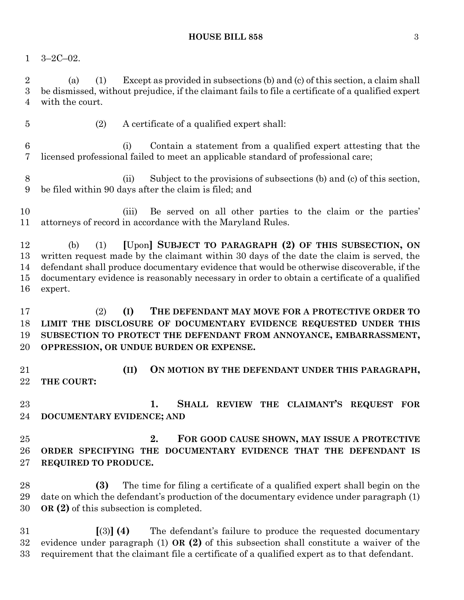### **HOUSE BILL 858** 3

3–2C–02.

 (a) (1) Except as provided in subsections (b) and (c) of this section, a claim shall be dismissed, without prejudice, if the claimant fails to file a certificate of a qualified expert with the court.

(2) A certificate of a qualified expert shall:

 (i) Contain a statement from a qualified expert attesting that the licensed professional failed to meet an applicable standard of professional care;

 (ii) Subject to the provisions of subsections (b) and (c) of this section, be filed within 90 days after the claim is filed; and

 (iii) Be served on all other parties to the claim or the parties' attorneys of record in accordance with the Maryland Rules.

 (b) (1) **[**Upon**] SUBJECT TO PARAGRAPH (2) OF THIS SUBSECTION, ON** written request made by the claimant within 30 days of the date the claim is served, the defendant shall produce documentary evidence that would be otherwise discoverable, if the documentary evidence is reasonably necessary in order to obtain a certificate of a qualified expert.

 (2) **(I) THE DEFENDANT MAY MOVE FOR A PROTECTIVE ORDER TO LIMIT THE DISCLOSURE OF DOCUMENTARY EVIDENCE REQUESTED UNDER THIS SUBSECTION TO PROTECT THE DEFENDANT FROM ANNOYANCE, EMBARRASSMENT, OPPRESSION, OR UNDUE BURDEN OR EXPENSE.**

 **(II) ON MOTION BY THE DEFENDANT UNDER THIS PARAGRAPH, THE COURT:**

 **1. SHALL REVIEW THE CLAIMANT'S REQUEST FOR DOCUMENTARY EVIDENCE; AND** 

 **2. FOR GOOD CAUSE SHOWN, MAY ISSUE A PROTECTIVE ORDER SPECIFYING THE DOCUMENTARY EVIDENCE THAT THE DEFENDANT IS REQUIRED TO PRODUCE.**

 **(3)** The time for filing a certificate of a qualified expert shall begin on the date on which the defendant's production of the documentary evidence under paragraph (1) **OR (2)** of this subsection is completed.

 **[**(3)**] (4)** The defendant's failure to produce the requested documentary evidence under paragraph (1) **OR (2)** of this subsection shall constitute a waiver of the requirement that the claimant file a certificate of a qualified expert as to that defendant.